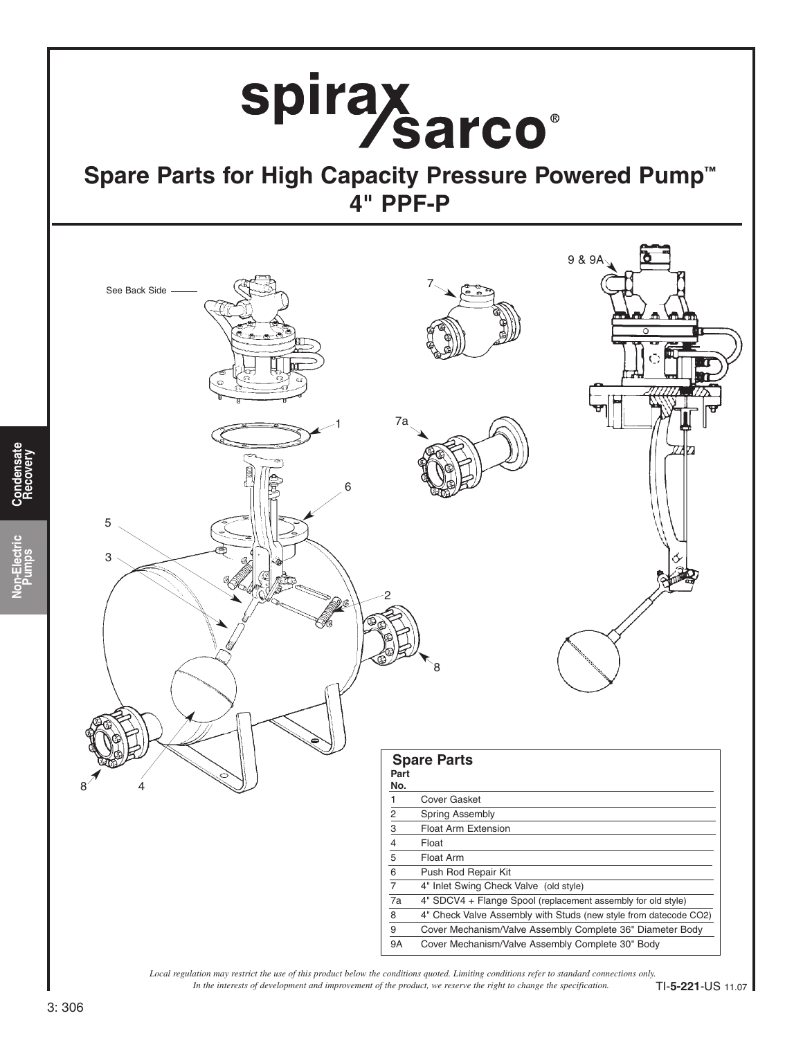

*In the interests of development and improvement of the product, we reserve the right to change the specification. Local regulation may restrict the use of this product below the conditions quoted. Limiting conditions refer to standard connections only.*

TI-**5-221**-US 11.07

**Pumps**